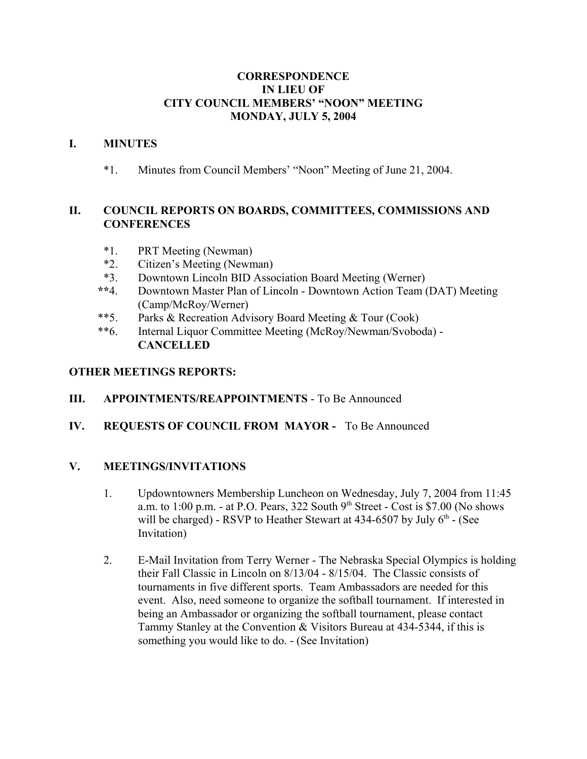#### **CORRESPONDENCE IN LIEU OF CITY COUNCIL MEMBERS' "NOON" MEETING MONDAY, JULY 5, 2004**

#### **I. MINUTES**

\*1. Minutes from Council Members' "Noon" Meeting of June 21, 2004.

# **II. COUNCIL REPORTS ON BOARDS, COMMITTEES, COMMISSIONS AND CONFERENCES**

- \*1. PRT Meeting (Newman)
- \*2. Citizen's Meeting (Newman)
- \*3. Downtown Lincoln BID Association Board Meeting (Werner)
- **\*\***4. Downtown Master Plan of Lincoln Downtown Action Team (DAT) Meeting (Camp/McRoy/Werner)
- \*\*5. Parks & Recreation Advisory Board Meeting & Tour (Cook)
- \*\*6. Internal Liquor Committee Meeting (McRoy/Newman/Svoboda) **CANCELLED**

## **OTHER MEETINGS REPORTS:**

- **III. APPOINTMENTS/REAPPOINTMENTS** To Be Announced
- **IV. REQUESTS OF COUNCIL FROM MAYOR** To Be Announced

## **V. MEETINGS/INVITATIONS**

- 1. Updowntowners Membership Luncheon on Wednesday, July 7, 2004 from 11:45 a.m. to  $1:00$  p.m. - at P.O. Pears, 322 South  $9<sup>th</sup>$  Street - Cost is \$7.00 (No shows will be charged) - RSVP to Heather Stewart at  $434-6507$  by July  $6<sup>th</sup>$  - (See Invitation)
- 2. E-Mail Invitation from Terry Werner The Nebraska Special Olympics is holding their Fall Classic in Lincoln on 8/13/04 - 8/15/04. The Classic consists of tournaments in five different sports. Team Ambassadors are needed for this event. Also, need someone to organize the softball tournament. If interested in being an Ambassador or organizing the softball tournament, please contact Tammy Stanley at the Convention & Visitors Bureau at 434-5344, if this is something you would like to do. - (See Invitation)